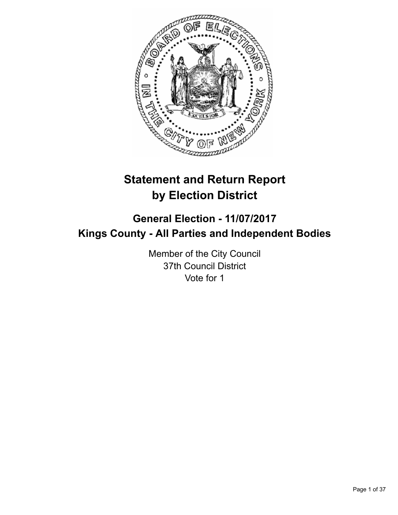

# **Statement and Return Report by Election District**

# **General Election - 11/07/2017 Kings County - All Parties and Independent Bodies**

Member of the City Council 37th Council District Vote for 1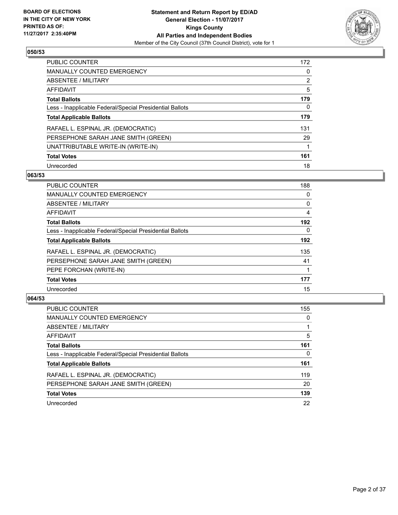

| <b>PUBLIC COUNTER</b>                                    | 172 |
|----------------------------------------------------------|-----|
| <b>MANUALLY COUNTED EMERGENCY</b>                        | 0   |
| ABSENTEE / MILITARY                                      | 2   |
| AFFIDAVIT                                                | 5   |
| <b>Total Ballots</b>                                     | 179 |
| Less - Inapplicable Federal/Special Presidential Ballots | 0   |
| <b>Total Applicable Ballots</b>                          | 179 |
| RAFAEL L. ESPINAL JR. (DEMOCRATIC)                       | 131 |
| PERSEPHONE SARAH JANE SMITH (GREEN)                      | 29  |
| UNATTRIBUTABLE WRITE-IN (WRITE-IN)                       | 1   |
| <b>Total Votes</b>                                       | 161 |
| Unrecorded                                               | 18  |

#### **063/53**

| <b>PUBLIC COUNTER</b>                                    | 188      |
|----------------------------------------------------------|----------|
| <b>MANUALLY COUNTED EMERGENCY</b>                        | 0        |
| ABSENTEE / MILITARY                                      | 0        |
| <b>AFFIDAVIT</b>                                         | 4        |
| <b>Total Ballots</b>                                     | 192      |
| Less - Inapplicable Federal/Special Presidential Ballots | $\Omega$ |
| <b>Total Applicable Ballots</b>                          | 192      |
| RAFAEL L. ESPINAL JR. (DEMOCRATIC)                       | 135      |
| PERSEPHONE SARAH JANE SMITH (GREEN)                      | 41       |
| PEPE FORCHAN (WRITE-IN)                                  |          |
| <b>Total Votes</b>                                       | 177      |
| Unrecorded                                               | 15       |

| <b>PUBLIC COUNTER</b>                                    | 155 |
|----------------------------------------------------------|-----|
| <b>MANUALLY COUNTED EMERGENCY</b>                        | 0   |
| ABSENTEE / MILITARY                                      |     |
| AFFIDAVIT                                                | 5   |
| <b>Total Ballots</b>                                     | 161 |
| Less - Inapplicable Federal/Special Presidential Ballots | 0   |
| <b>Total Applicable Ballots</b>                          | 161 |
| RAFAEL L. ESPINAL JR. (DEMOCRATIC)                       | 119 |
| PERSEPHONE SARAH JANE SMITH (GREEN)                      | 20  |
| <b>Total Votes</b>                                       | 139 |
| Unrecorded                                               | 22  |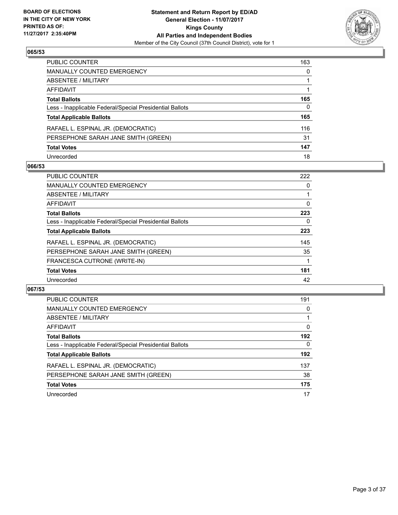

| PUBLIC COUNTER                                           | 163 |
|----------------------------------------------------------|-----|
| MANUALLY COUNTED EMERGENCY                               | 0   |
| ABSENTEE / MILITARY                                      |     |
| AFFIDAVIT                                                |     |
| <b>Total Ballots</b>                                     | 165 |
| Less - Inapplicable Federal/Special Presidential Ballots | 0   |
| <b>Total Applicable Ballots</b>                          | 165 |
| RAFAEL L. ESPINAL JR. (DEMOCRATIC)                       | 116 |
| PERSEPHONE SARAH JANE SMITH (GREEN)                      | 31  |
| <b>Total Votes</b>                                       | 147 |
| Unrecorded                                               | 18  |

#### **066/53**

| <b>PUBLIC COUNTER</b>                                    | 222 |
|----------------------------------------------------------|-----|
| <b>MANUALLY COUNTED EMERGENCY</b>                        | 0   |
| ABSENTEE / MILITARY                                      |     |
| AFFIDAVIT                                                | 0   |
| <b>Total Ballots</b>                                     | 223 |
| Less - Inapplicable Federal/Special Presidential Ballots | 0   |
| <b>Total Applicable Ballots</b>                          | 223 |
| RAFAEL L. ESPINAL JR. (DEMOCRATIC)                       | 145 |
| PERSEPHONE SARAH JANE SMITH (GREEN)                      | 35  |
| FRANCESCA CUTRONE (WRITE-IN)                             |     |
| <b>Total Votes</b>                                       | 181 |
| Unrecorded                                               | 42  |

| <b>PUBLIC COUNTER</b>                                    | 191 |
|----------------------------------------------------------|-----|
| <b>MANUALLY COUNTED EMERGENCY</b>                        | 0   |
| ABSENTEE / MILITARY                                      |     |
| AFFIDAVIT                                                | 0   |
| <b>Total Ballots</b>                                     | 192 |
| Less - Inapplicable Federal/Special Presidential Ballots | 0   |
| <b>Total Applicable Ballots</b>                          | 192 |
| RAFAEL L. ESPINAL JR. (DEMOCRATIC)                       | 137 |
| PERSEPHONE SARAH JANE SMITH (GREEN)                      | 38  |
| <b>Total Votes</b>                                       | 175 |
| Unrecorded                                               | 17  |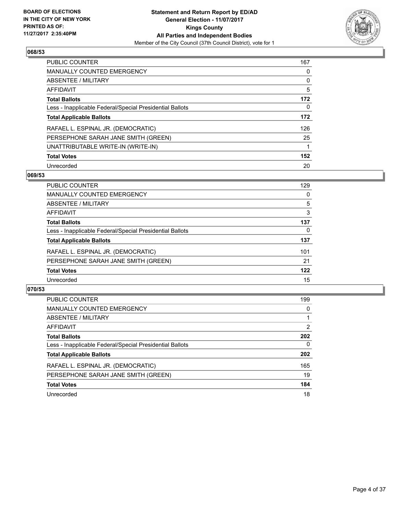

| <b>PUBLIC COUNTER</b>                                    | 167 |
|----------------------------------------------------------|-----|
| <b>MANUALLY COUNTED EMERGENCY</b>                        | 0   |
| ABSENTEE / MILITARY                                      | 0   |
| AFFIDAVIT                                                | 5   |
| <b>Total Ballots</b>                                     | 172 |
| Less - Inapplicable Federal/Special Presidential Ballots | 0   |
| <b>Total Applicable Ballots</b>                          | 172 |
| RAFAEL L. ESPINAL JR. (DEMOCRATIC)                       | 126 |
| PERSEPHONE SARAH JANE SMITH (GREEN)                      | 25  |
| UNATTRIBUTABLE WRITE-IN (WRITE-IN)                       | 1   |
| <b>Total Votes</b>                                       | 152 |
| Unrecorded                                               | 20  |

#### **069/53**

| <b>PUBLIC COUNTER</b>                                    | 129 |
|----------------------------------------------------------|-----|
| MANUALLY COUNTED EMERGENCY                               | 0   |
| ABSENTEE / MILITARY                                      | 5   |
| AFFIDAVIT                                                | 3   |
| <b>Total Ballots</b>                                     | 137 |
| Less - Inapplicable Federal/Special Presidential Ballots | 0   |
| <b>Total Applicable Ballots</b>                          | 137 |
| RAFAEL L. ESPINAL JR. (DEMOCRATIC)                       | 101 |
| PERSEPHONE SARAH JANE SMITH (GREEN)                      | 21  |
| <b>Total Votes</b>                                       | 122 |
| Unrecorded                                               | 15  |

| <b>PUBLIC COUNTER</b>                                    | 199            |
|----------------------------------------------------------|----------------|
| MANUALLY COUNTED EMERGENCY                               | 0              |
| ABSENTEE / MILITARY                                      |                |
| AFFIDAVIT                                                | $\overline{2}$ |
| <b>Total Ballots</b>                                     | 202            |
| Less - Inapplicable Federal/Special Presidential Ballots | 0              |
| <b>Total Applicable Ballots</b>                          | 202            |
| RAFAEL L. ESPINAL JR. (DEMOCRATIC)                       | 165            |
| PERSEPHONE SARAH JANE SMITH (GREEN)                      | 19             |
| <b>Total Votes</b>                                       | 184            |
| Unrecorded                                               | 18             |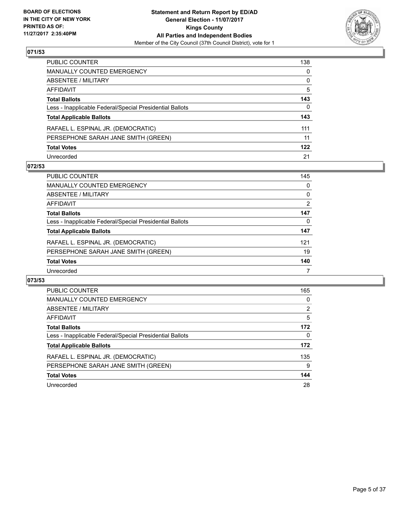

| PUBLIC COUNTER                                           | 138 |
|----------------------------------------------------------|-----|
| MANUALLY COUNTED EMERGENCY                               | 0   |
| ABSENTEE / MILITARY                                      | 0   |
| AFFIDAVIT                                                | 5   |
| <b>Total Ballots</b>                                     | 143 |
| Less - Inapplicable Federal/Special Presidential Ballots | 0   |
| <b>Total Applicable Ballots</b>                          | 143 |
| RAFAEL L. ESPINAL JR. (DEMOCRATIC)                       | 111 |
| PERSEPHONE SARAH JANE SMITH (GREEN)                      | 11  |
| <b>Total Votes</b>                                       | 122 |
| Unrecorded                                               | 21  |

#### **072/53**

| PUBLIC COUNTER                                           | 145 |
|----------------------------------------------------------|-----|
| MANUALLY COUNTED EMERGENCY                               | 0   |
| ABSENTEE / MILITARY                                      | 0   |
| AFFIDAVIT                                                | 2   |
| <b>Total Ballots</b>                                     | 147 |
| Less - Inapplicable Federal/Special Presidential Ballots | 0   |
| <b>Total Applicable Ballots</b>                          | 147 |
| RAFAEL L. ESPINAL JR. (DEMOCRATIC)                       | 121 |
| PERSEPHONE SARAH JANE SMITH (GREEN)                      | 19  |
| <b>Total Votes</b>                                       | 140 |
| Unrecorded                                               | 7   |

| PUBLIC COUNTER                                           | 165            |
|----------------------------------------------------------|----------------|
| <b>MANUALLY COUNTED EMERGENCY</b>                        | 0              |
| ABSENTEE / MILITARY                                      | $\overline{2}$ |
| <b>AFFIDAVIT</b>                                         | 5              |
| <b>Total Ballots</b>                                     | 172            |
| Less - Inapplicable Federal/Special Presidential Ballots | 0              |
| <b>Total Applicable Ballots</b>                          | 172            |
| RAFAEL L. ESPINAL JR. (DEMOCRATIC)                       | 135            |
| PERSEPHONE SARAH JANE SMITH (GREEN)                      | 9              |
| <b>Total Votes</b>                                       | 144            |
| Unrecorded                                               | 28             |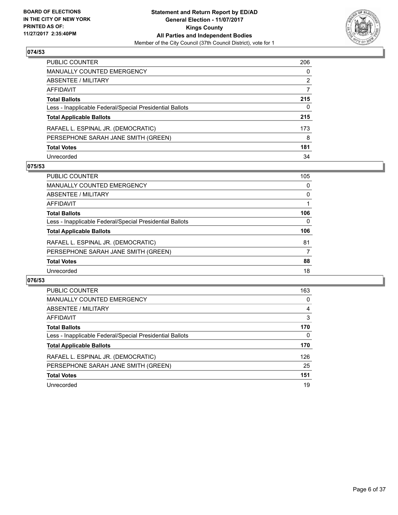

| PUBLIC COUNTER                                           | 206 |
|----------------------------------------------------------|-----|
| <b>MANUALLY COUNTED EMERGENCY</b>                        | 0   |
| ABSENTEE / MILITARY                                      | 2   |
| AFFIDAVIT                                                |     |
| <b>Total Ballots</b>                                     | 215 |
| Less - Inapplicable Federal/Special Presidential Ballots | 0   |
| <b>Total Applicable Ballots</b>                          | 215 |
| RAFAEL L. ESPINAL JR. (DEMOCRATIC)                       | 173 |
| PERSEPHONE SARAH JANE SMITH (GREEN)                      | 8   |
| <b>Total Votes</b>                                       | 181 |
| Unrecorded                                               | 34  |

#### **075/53**

| PUBLIC COUNTER                                           | 105 |
|----------------------------------------------------------|-----|
| MANUALLY COUNTED EMERGENCY                               | 0   |
| ABSENTEE / MILITARY                                      | 0   |
| AFFIDAVIT                                                |     |
| <b>Total Ballots</b>                                     | 106 |
| Less - Inapplicable Federal/Special Presidential Ballots | 0   |
| <b>Total Applicable Ballots</b>                          | 106 |
| RAFAEL L. ESPINAL JR. (DEMOCRATIC)                       | 81  |
| PERSEPHONE SARAH JANE SMITH (GREEN)                      | 7   |
| <b>Total Votes</b>                                       | 88  |
| Unrecorded                                               | 18  |

| PUBLIC COUNTER                                           | 163 |
|----------------------------------------------------------|-----|
| <b>MANUALLY COUNTED EMERGENCY</b>                        | 0   |
| ABSENTEE / MILITARY                                      | 4   |
| <b>AFFIDAVIT</b>                                         | 3   |
| <b>Total Ballots</b>                                     | 170 |
| Less - Inapplicable Federal/Special Presidential Ballots | 0   |
| <b>Total Applicable Ballots</b>                          | 170 |
| RAFAEL L. ESPINAL JR. (DEMOCRATIC)                       | 126 |
| PERSEPHONE SARAH JANE SMITH (GREEN)                      | 25  |
| <b>Total Votes</b>                                       | 151 |
| Unrecorded                                               | 19  |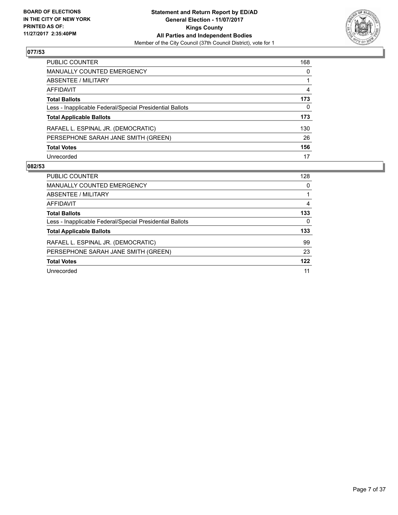

| PUBLIC COUNTER                                           | 168 |
|----------------------------------------------------------|-----|
| <b>MANUALLY COUNTED EMERGENCY</b>                        | 0   |
| <b>ABSENTEE / MILITARY</b>                               |     |
| <b>AFFIDAVIT</b>                                         | 4   |
| <b>Total Ballots</b>                                     | 173 |
| Less - Inapplicable Federal/Special Presidential Ballots | 0   |
| <b>Total Applicable Ballots</b>                          | 173 |
| RAFAEL L. ESPINAL JR. (DEMOCRATIC)                       | 130 |
| PERSEPHONE SARAH JANE SMITH (GREEN)                      | 26  |
| <b>Total Votes</b>                                       | 156 |
| Unrecorded                                               | 17  |

| <b>PUBLIC COUNTER</b>                                    | 128 |
|----------------------------------------------------------|-----|
| <b>MANUALLY COUNTED EMERGENCY</b>                        | 0   |
| ABSENTEE / MILITARY                                      |     |
| AFFIDAVIT                                                | 4   |
| <b>Total Ballots</b>                                     | 133 |
| Less - Inapplicable Federal/Special Presidential Ballots | 0   |
| <b>Total Applicable Ballots</b>                          | 133 |
| RAFAEL L. ESPINAL JR. (DEMOCRATIC)                       | 99  |
| PERSEPHONE SARAH JANE SMITH (GREEN)                      | 23  |
| <b>Total Votes</b>                                       | 122 |
| Unrecorded                                               | 11  |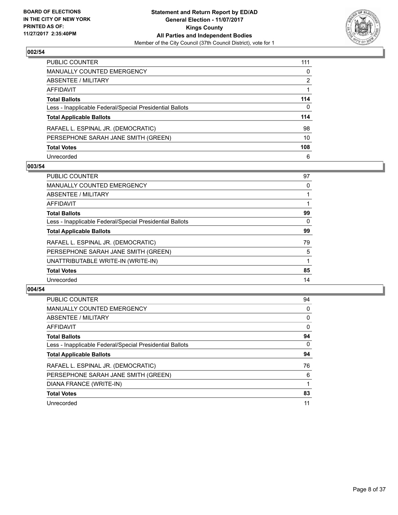

| PUBLIC COUNTER                                           | 111 |
|----------------------------------------------------------|-----|
| <b>MANUALLY COUNTED EMERGENCY</b>                        | 0   |
| <b>ABSENTEE / MILITARY</b>                               | 2   |
| AFFIDAVIT                                                |     |
| <b>Total Ballots</b>                                     | 114 |
| Less - Inapplicable Federal/Special Presidential Ballots | 0   |
| <b>Total Applicable Ballots</b>                          | 114 |
| RAFAEL L. ESPINAL JR. (DEMOCRATIC)                       | 98  |
| PERSEPHONE SARAH JANE SMITH (GREEN)                      | 10  |
| <b>Total Votes</b>                                       | 108 |
| Unrecorded                                               | 6   |

#### **003/54**

| <b>PUBLIC COUNTER</b>                                    | 97 |
|----------------------------------------------------------|----|
| <b>MANUALLY COUNTED EMERGENCY</b>                        | 0  |
| ABSENTEE / MILITARY                                      |    |
| <b>AFFIDAVIT</b>                                         |    |
| <b>Total Ballots</b>                                     | 99 |
| Less - Inapplicable Federal/Special Presidential Ballots | 0  |
| <b>Total Applicable Ballots</b>                          | 99 |
| RAFAEL L. ESPINAL JR. (DEMOCRATIC)                       | 79 |
| PERSEPHONE SARAH JANE SMITH (GREEN)                      | 5  |
| UNATTRIBUTABLE WRITE-IN (WRITE-IN)                       |    |
| <b>Total Votes</b>                                       | 85 |
| Unrecorded                                               | 14 |

| <b>PUBLIC COUNTER</b>                                    | 94       |
|----------------------------------------------------------|----------|
| <b>MANUALLY COUNTED EMERGENCY</b>                        | 0        |
| ABSENTEE / MILITARY                                      | 0        |
| AFFIDAVIT                                                | $\Omega$ |
| <b>Total Ballots</b>                                     | 94       |
| Less - Inapplicable Federal/Special Presidential Ballots | 0        |
| <b>Total Applicable Ballots</b>                          | 94       |
| RAFAEL L. ESPINAL JR. (DEMOCRATIC)                       | 76       |
| PERSEPHONE SARAH JANE SMITH (GREEN)                      | 6        |
| DIANA FRANCE (WRITE-IN)                                  |          |
| <b>Total Votes</b>                                       | 83       |
| Unrecorded                                               | 11       |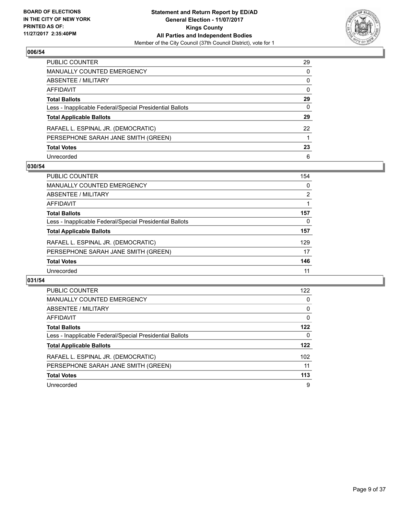

| PUBLIC COUNTER                                           | 29 |
|----------------------------------------------------------|----|
| <b>MANUALLY COUNTED EMERGENCY</b>                        | 0  |
| <b>ABSENTEE / MILITARY</b>                               | 0  |
| AFFIDAVIT                                                | 0  |
| <b>Total Ballots</b>                                     | 29 |
| Less - Inapplicable Federal/Special Presidential Ballots | 0  |
| <b>Total Applicable Ballots</b>                          | 29 |
| RAFAEL L. ESPINAL JR. (DEMOCRATIC)                       | 22 |
| PERSEPHONE SARAH JANE SMITH (GREEN)                      |    |
| <b>Total Votes</b>                                       | 23 |
| Unrecorded                                               | 6  |

#### **030/54**

| <b>PUBLIC COUNTER</b>                                    | 154 |
|----------------------------------------------------------|-----|
| MANUALLY COUNTED EMERGENCY                               | 0   |
| ABSENTEE / MILITARY                                      | 2   |
| AFFIDAVIT                                                |     |
| <b>Total Ballots</b>                                     | 157 |
| Less - Inapplicable Federal/Special Presidential Ballots | 0   |
| <b>Total Applicable Ballots</b>                          | 157 |
| RAFAEL L. ESPINAL JR. (DEMOCRATIC)                       | 129 |
| PERSEPHONE SARAH JANE SMITH (GREEN)                      | 17  |
| <b>Total Votes</b>                                       | 146 |
| Unrecorded                                               | 11  |

| PUBLIC COUNTER                                           | 122 |
|----------------------------------------------------------|-----|
| <b>MANUALLY COUNTED EMERGENCY</b>                        | 0   |
| <b>ABSENTEE / MILITARY</b>                               | 0   |
| AFFIDAVIT                                                | 0   |
| <b>Total Ballots</b>                                     | 122 |
| Less - Inapplicable Federal/Special Presidential Ballots | 0   |
| <b>Total Applicable Ballots</b>                          | 122 |
| RAFAEL L. ESPINAL JR. (DEMOCRATIC)                       | 102 |
| PERSEPHONE SARAH JANE SMITH (GREEN)                      | 11  |
| <b>Total Votes</b>                                       | 113 |
| Unrecorded                                               | 9   |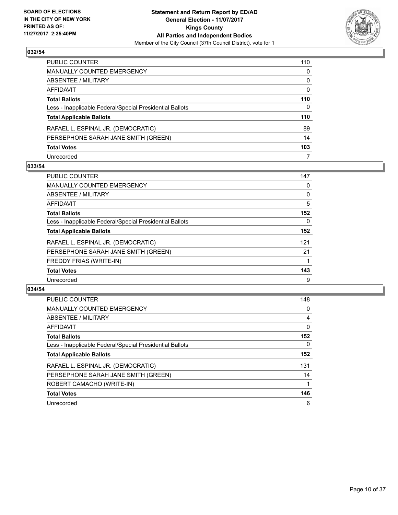

| PUBLIC COUNTER                                           | 110          |
|----------------------------------------------------------|--------------|
| MANUALLY COUNTED EMERGENCY                               | 0            |
| <b>ABSENTEE / MILITARY</b>                               | 0            |
| AFFIDAVIT                                                | $\mathbf{0}$ |
| Total Ballots                                            | 110          |
| Less - Inapplicable Federal/Special Presidential Ballots | $\Omega$     |
| <b>Total Applicable Ballots</b>                          | 110          |
| RAFAEL L. ESPINAL JR. (DEMOCRATIC)                       | 89           |
| PERSEPHONE SARAH JANE SMITH (GREEN)                      | 14           |
| <b>Total Votes</b>                                       | 103          |
| Unrecorded                                               | 7            |

#### **033/54**

| <b>PUBLIC COUNTER</b>                                    | 147 |
|----------------------------------------------------------|-----|
| <b>MANUALLY COUNTED EMERGENCY</b>                        | 0   |
| ABSENTEE / MILITARY                                      | 0   |
| <b>AFFIDAVIT</b>                                         | 5   |
| <b>Total Ballots</b>                                     | 152 |
| Less - Inapplicable Federal/Special Presidential Ballots | 0   |
| <b>Total Applicable Ballots</b>                          | 152 |
| RAFAEL L. ESPINAL JR. (DEMOCRATIC)                       | 121 |
| PERSEPHONE SARAH JANE SMITH (GREEN)                      | 21  |
| <b>FREDDY FRIAS (WRITE-IN)</b>                           |     |
| <b>Total Votes</b>                                       | 143 |
| Unrecorded                                               | 9   |

| <b>PUBLIC COUNTER</b>                                    | 148      |
|----------------------------------------------------------|----------|
| <b>MANUALLY COUNTED EMERGENCY</b>                        | 0        |
| ABSENTEE / MILITARY                                      | 4        |
| <b>AFFIDAVIT</b>                                         | $\Omega$ |
| <b>Total Ballots</b>                                     | 152      |
| Less - Inapplicable Federal/Special Presidential Ballots | 0        |
| <b>Total Applicable Ballots</b>                          | 152      |
| RAFAEL L. ESPINAL JR. (DEMOCRATIC)                       | 131      |
| PERSEPHONE SARAH JANE SMITH (GREEN)                      | 14       |
| ROBERT CAMACHO (WRITE-IN)                                |          |
| <b>Total Votes</b>                                       | 146      |
| Unrecorded                                               | 6        |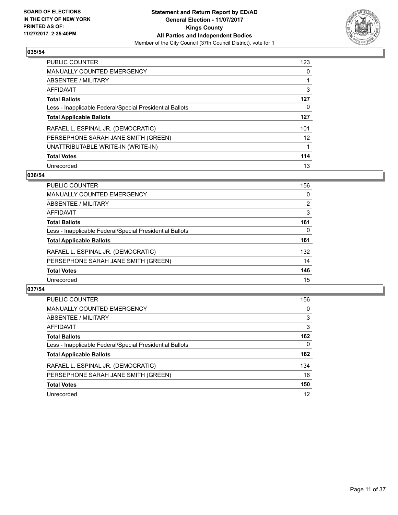

| <b>PUBLIC COUNTER</b>                                    | 123               |
|----------------------------------------------------------|-------------------|
| <b>MANUALLY COUNTED EMERGENCY</b>                        | 0                 |
| ABSENTEE / MILITARY                                      |                   |
| AFFIDAVIT                                                | 3                 |
| <b>Total Ballots</b>                                     | 127               |
| Less - Inapplicable Federal/Special Presidential Ballots | 0                 |
| <b>Total Applicable Ballots</b>                          | 127               |
| RAFAEL L. ESPINAL JR. (DEMOCRATIC)                       | 101               |
| PERSEPHONE SARAH JANE SMITH (GREEN)                      | $12 \overline{ }$ |
| UNATTRIBUTABLE WRITE-IN (WRITE-IN)                       |                   |
| <b>Total Votes</b>                                       | 114               |
| Unrecorded                                               | 13                |

#### **036/54**

| <b>PUBLIC COUNTER</b>                                    | 156 |
|----------------------------------------------------------|-----|
| MANUALLY COUNTED EMERGENCY                               | 0   |
| ABSENTEE / MILITARY                                      | 2   |
| AFFIDAVIT                                                | 3   |
| <b>Total Ballots</b>                                     | 161 |
| Less - Inapplicable Federal/Special Presidential Ballots | 0   |
| <b>Total Applicable Ballots</b>                          | 161 |
| RAFAEL L. ESPINAL JR. (DEMOCRATIC)                       | 132 |
| PERSEPHONE SARAH JANE SMITH (GREEN)                      | 14  |
| <b>Total Votes</b>                                       | 146 |
| Unrecorded                                               | 15  |

| <b>PUBLIC COUNTER</b>                                    | 156      |
|----------------------------------------------------------|----------|
| MANUALLY COUNTED EMERGENCY                               | 0        |
| ABSENTEE / MILITARY                                      | 3        |
| AFFIDAVIT                                                | 3        |
| <b>Total Ballots</b>                                     | 162      |
| Less - Inapplicable Federal/Special Presidential Ballots | $\Omega$ |
| <b>Total Applicable Ballots</b>                          | 162      |
| RAFAEL L. ESPINAL JR. (DEMOCRATIC)                       | 134      |
| PERSEPHONE SARAH JANE SMITH (GREEN)                      | 16       |
| <b>Total Votes</b>                                       | 150      |
| Unrecorded                                               | 12       |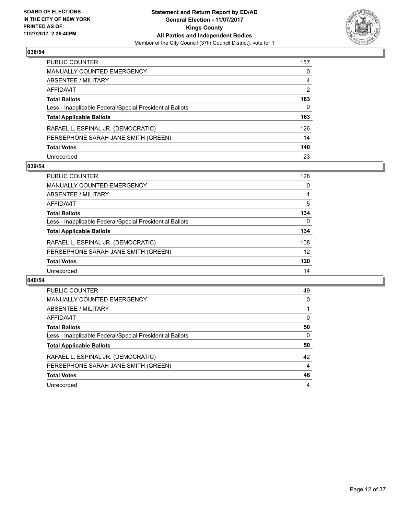

| PUBLIC COUNTER                                           | 157            |
|----------------------------------------------------------|----------------|
| <b>MANUALLY COUNTED EMERGENCY</b>                        | 0              |
| ABSENTEE / MILITARY                                      | 4              |
| <b>AFFIDAVIT</b>                                         | $\overline{2}$ |
| <b>Total Ballots</b>                                     | 163            |
| Less - Inapplicable Federal/Special Presidential Ballots | $\mathbf{0}$   |
| <b>Total Applicable Ballots</b>                          | 163            |
| RAFAEL L. ESPINAL JR. (DEMOCRATIC)                       | 126            |
| PERSEPHONE SARAH JANE SMITH (GREEN)                      | 14             |
| <b>Total Votes</b>                                       | 140            |
| Unrecorded                                               | 23             |

#### **039/54**

| <b>PUBLIC COUNTER</b>                                    | 128 |
|----------------------------------------------------------|-----|
| MANUALLY COUNTED EMERGENCY                               | 0   |
| ABSENTEE / MILITARY                                      |     |
| AFFIDAVIT                                                | 5   |
| <b>Total Ballots</b>                                     | 134 |
| Less - Inapplicable Federal/Special Presidential Ballots | 0   |
| <b>Total Applicable Ballots</b>                          | 134 |
| RAFAEL L. ESPINAL JR. (DEMOCRATIC)                       | 108 |
| PERSEPHONE SARAH JANE SMITH (GREEN)                      | 12  |
| <b>Total Votes</b>                                       | 120 |
| Unrecorded                                               | 14  |

| PUBLIC COUNTER                                           | 49 |
|----------------------------------------------------------|----|
| <b>MANUALLY COUNTED EMERGENCY</b>                        | 0  |
| ABSENTEE / MILITARY                                      |    |
| AFFIDAVIT                                                | 0  |
| <b>Total Ballots</b>                                     | 50 |
| Less - Inapplicable Federal/Special Presidential Ballots | 0  |
| <b>Total Applicable Ballots</b>                          | 50 |
| RAFAEL L. ESPINAL JR. (DEMOCRATIC)                       | 42 |
| PERSEPHONE SARAH JANE SMITH (GREEN)                      | 4  |
|                                                          |    |
| <b>Total Votes</b>                                       | 46 |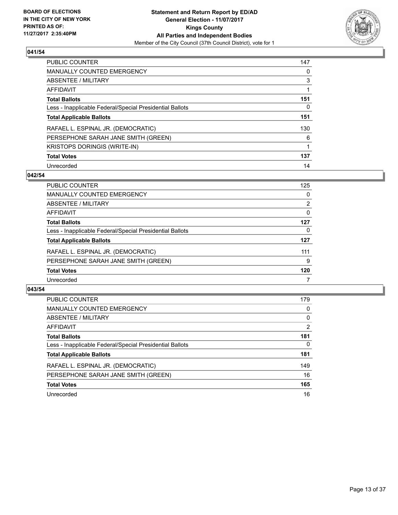

| <b>PUBLIC COUNTER</b>                                    | 147 |
|----------------------------------------------------------|-----|
| <b>MANUALLY COUNTED EMERGENCY</b>                        | 0   |
| ABSENTEE / MILITARY                                      | 3   |
| AFFIDAVIT                                                |     |
| <b>Total Ballots</b>                                     | 151 |
| Less - Inapplicable Federal/Special Presidential Ballots | 0   |
| <b>Total Applicable Ballots</b>                          | 151 |
| RAFAEL L. ESPINAL JR. (DEMOCRATIC)                       | 130 |
| PERSEPHONE SARAH JANE SMITH (GREEN)                      | 6   |
| <b>KRISTOPS DORINGIS (WRITE-IN)</b>                      | 1   |
| <b>Total Votes</b>                                       | 137 |
| Unrecorded                                               | 14  |

#### **042/54**

| <b>PUBLIC COUNTER</b>                                    | 125            |
|----------------------------------------------------------|----------------|
| MANUALLY COUNTED EMERGENCY                               | 0              |
| ABSENTEE / MILITARY                                      | $\overline{2}$ |
| AFFIDAVIT                                                | 0              |
| <b>Total Ballots</b>                                     | 127            |
| Less - Inapplicable Federal/Special Presidential Ballots | 0              |
| <b>Total Applicable Ballots</b>                          | 127            |
| RAFAEL L. ESPINAL JR. (DEMOCRATIC)                       | 111            |
| PERSEPHONE SARAH JANE SMITH (GREEN)                      | 9              |
| <b>Total Votes</b>                                       | 120            |
| Unrecorded                                               |                |

| <b>PUBLIC COUNTER</b>                                    | 179            |
|----------------------------------------------------------|----------------|
| MANUALLY COUNTED EMERGENCY                               | 0              |
| ABSENTEE / MILITARY                                      | 0              |
| AFFIDAVIT                                                | $\overline{2}$ |
| <b>Total Ballots</b>                                     | 181            |
| Less - Inapplicable Federal/Special Presidential Ballots | $\Omega$       |
| <b>Total Applicable Ballots</b>                          | 181            |
| RAFAEL L. ESPINAL JR. (DEMOCRATIC)                       | 149            |
| PERSEPHONE SARAH JANE SMITH (GREEN)                      | 16             |
| <b>Total Votes</b>                                       | 165            |
| Unrecorded                                               | 16             |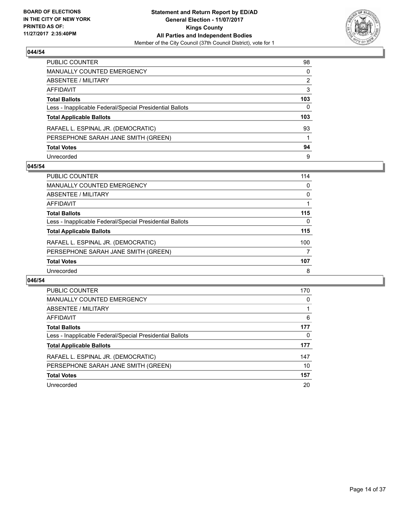

| PUBLIC COUNTER                                           | 98  |
|----------------------------------------------------------|-----|
| <b>MANUALLY COUNTED EMERGENCY</b>                        | 0   |
| <b>ABSENTEE / MILITARY</b>                               | 2   |
| AFFIDAVIT                                                | 3   |
| <b>Total Ballots</b>                                     | 103 |
| Less - Inapplicable Federal/Special Presidential Ballots | 0   |
| <b>Total Applicable Ballots</b>                          | 103 |
| RAFAEL L. ESPINAL JR. (DEMOCRATIC)                       | 93  |
| PERSEPHONE SARAH JANE SMITH (GREEN)                      |     |
| <b>Total Votes</b>                                       | 94  |
| Unrecorded                                               | 9   |

#### **045/54**

| <b>PUBLIC COUNTER</b>                                    | 114 |
|----------------------------------------------------------|-----|
| MANUALLY COUNTED EMERGENCY                               | 0   |
| ABSENTEE / MILITARY                                      | 0   |
| AFFIDAVIT                                                |     |
| <b>Total Ballots</b>                                     | 115 |
| Less - Inapplicable Federal/Special Presidential Ballots | 0   |
| <b>Total Applicable Ballots</b>                          | 115 |
| RAFAEL L. ESPINAL JR. (DEMOCRATIC)                       | 100 |
| PERSEPHONE SARAH JANE SMITH (GREEN)                      | 7   |
| <b>Total Votes</b>                                       | 107 |
| Unrecorded                                               | 8   |

| PUBLIC COUNTER                                           | 170 |
|----------------------------------------------------------|-----|
| <b>MANUALLY COUNTED EMERGENCY</b>                        | 0   |
| ABSENTEE / MILITARY                                      |     |
| <b>AFFIDAVIT</b>                                         | 6   |
| <b>Total Ballots</b>                                     | 177 |
| Less - Inapplicable Federal/Special Presidential Ballots | 0   |
| <b>Total Applicable Ballots</b>                          | 177 |
| RAFAEL L. ESPINAL JR. (DEMOCRATIC)                       | 147 |
| PERSEPHONE SARAH JANE SMITH (GREEN)                      | 10  |
| <b>Total Votes</b>                                       | 157 |
|                                                          |     |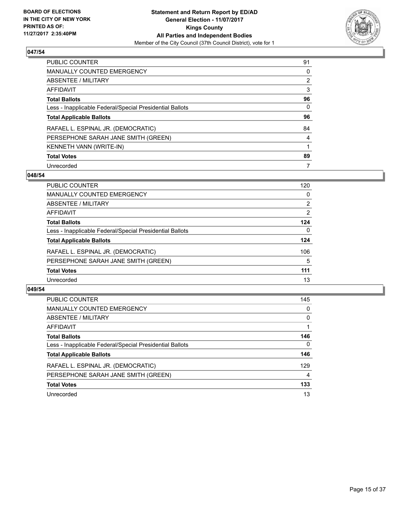

| <b>PUBLIC COUNTER</b>                                    | 91             |
|----------------------------------------------------------|----------------|
| <b>MANUALLY COUNTED EMERGENCY</b>                        | 0              |
| ABSENTEE / MILITARY                                      | $\overline{2}$ |
| AFFIDAVIT                                                | 3              |
| <b>Total Ballots</b>                                     | 96             |
| Less - Inapplicable Federal/Special Presidential Ballots | 0              |
| <b>Total Applicable Ballots</b>                          | 96             |
| RAFAEL L. ESPINAL JR. (DEMOCRATIC)                       | 84             |
| PERSEPHONE SARAH JANE SMITH (GREEN)                      | 4              |
| KENNETH VANN (WRITE-IN)                                  |                |
| <b>Total Votes</b>                                       | 89             |
| Unrecorded                                               | 7              |

#### **048/54**

| <b>PUBLIC COUNTER</b>                                    | 120 |
|----------------------------------------------------------|-----|
| MANUALLY COUNTED EMERGENCY                               | 0   |
| ABSENTEE / MILITARY                                      | 2   |
| AFFIDAVIT                                                | 2   |
| <b>Total Ballots</b>                                     | 124 |
| Less - Inapplicable Federal/Special Presidential Ballots | 0   |
| <b>Total Applicable Ballots</b>                          | 124 |
| RAFAEL L. ESPINAL JR. (DEMOCRATIC)                       | 106 |
| PERSEPHONE SARAH JANE SMITH (GREEN)                      | 5   |
| <b>Total Votes</b>                                       | 111 |
| Unrecorded                                               | 13  |

| <b>PUBLIC COUNTER</b>                                    | 145      |
|----------------------------------------------------------|----------|
| MANUALLY COUNTED EMERGENCY                               | 0        |
| ABSENTEE / MILITARY                                      | $\Omega$ |
| AFFIDAVIT                                                |          |
| <b>Total Ballots</b>                                     | 146      |
| Less - Inapplicable Federal/Special Presidential Ballots | $\Omega$ |
| <b>Total Applicable Ballots</b>                          | 146      |
| RAFAEL L. ESPINAL JR. (DEMOCRATIC)                       | 129      |
| PERSEPHONE SARAH JANE SMITH (GREEN)                      | 4        |
| <b>Total Votes</b>                                       | 133      |
| Unrecorded                                               | 13       |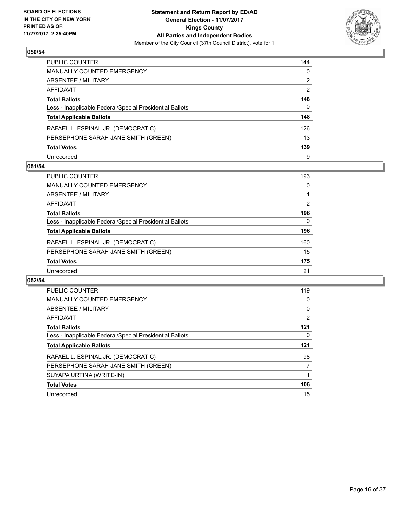

| PUBLIC COUNTER                                           | 144            |
|----------------------------------------------------------|----------------|
| <b>MANUALLY COUNTED EMERGENCY</b>                        | 0              |
| <b>ABSENTEE / MILITARY</b>                               | 2              |
| AFFIDAVIT                                                | $\overline{2}$ |
| <b>Total Ballots</b>                                     | 148            |
| Less - Inapplicable Federal/Special Presidential Ballots | 0              |
| <b>Total Applicable Ballots</b>                          | 148            |
| RAFAEL L. ESPINAL JR. (DEMOCRATIC)                       | 126            |
| PERSEPHONE SARAH JANE SMITH (GREEN)                      | 13             |
| <b>Total Votes</b>                                       | 139            |
| Unrecorded                                               | 9              |

#### **051/54**

| <b>PUBLIC COUNTER</b>                                    | 193 |
|----------------------------------------------------------|-----|
| MANUALLY COUNTED EMERGENCY                               | 0   |
| ABSENTEE / MILITARY                                      |     |
| AFFIDAVIT                                                | 2   |
| <b>Total Ballots</b>                                     | 196 |
| Less - Inapplicable Federal/Special Presidential Ballots | 0   |
| <b>Total Applicable Ballots</b>                          | 196 |
| RAFAEL L. ESPINAL JR. (DEMOCRATIC)                       | 160 |
| PERSEPHONE SARAH JANE SMITH (GREEN)                      | 15  |
| <b>Total Votes</b>                                       | 175 |
| Unrecorded                                               | 21  |

| PUBLIC COUNTER                                           | 119 |
|----------------------------------------------------------|-----|
| <b>MANUALLY COUNTED EMERGENCY</b>                        | 0   |
| ABSENTEE / MILITARY                                      | 0   |
| AFFIDAVIT                                                | 2   |
| <b>Total Ballots</b>                                     | 121 |
| Less - Inapplicable Federal/Special Presidential Ballots | 0   |
| <b>Total Applicable Ballots</b>                          | 121 |
| RAFAEL L. ESPINAL JR. (DEMOCRATIC)                       | 98  |
| PERSEPHONE SARAH JANE SMITH (GREEN)                      | 7   |
| SUYAPA URTINA (WRITE-IN)                                 |     |
| <b>Total Votes</b>                                       | 106 |
| Unrecorded                                               | 15  |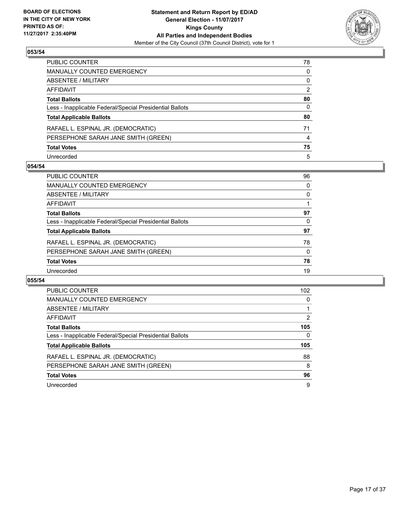

| PUBLIC COUNTER                                           | 78 |
|----------------------------------------------------------|----|
| <b>MANUALLY COUNTED EMERGENCY</b>                        | 0  |
| <b>ABSENTEE / MILITARY</b>                               | 0  |
| AFFIDAVIT                                                | 2  |
| <b>Total Ballots</b>                                     | 80 |
| Less - Inapplicable Federal/Special Presidential Ballots | 0  |
| <b>Total Applicable Ballots</b>                          | 80 |
| RAFAEL L. ESPINAL JR. (DEMOCRATIC)                       | 71 |
| PERSEPHONE SARAH JANE SMITH (GREEN)                      | 4  |
| <b>Total Votes</b>                                       | 75 |
| Unrecorded                                               | 5  |

#### **054/54**

| PUBLIC COUNTER                                           | 96 |
|----------------------------------------------------------|----|
| <b>MANUALLY COUNTED EMERGENCY</b>                        | 0  |
| ABSENTEE / MILITARY                                      | 0  |
| AFFIDAVIT                                                |    |
| <b>Total Ballots</b>                                     | 97 |
| Less - Inapplicable Federal/Special Presidential Ballots | 0  |
| <b>Total Applicable Ballots</b>                          | 97 |
| RAFAEL L. ESPINAL JR. (DEMOCRATIC)                       | 78 |
| PERSEPHONE SARAH JANE SMITH (GREEN)                      | 0  |
| <b>Total Votes</b>                                       | 78 |
| Unrecorded                                               | 19 |

| PUBLIC COUNTER                                           | 102 |
|----------------------------------------------------------|-----|
| <b>MANUALLY COUNTED EMERGENCY</b>                        | 0   |
| ABSENTEE / MILITARY                                      |     |
| <b>AFFIDAVIT</b>                                         | 2   |
| <b>Total Ballots</b>                                     | 105 |
| Less - Inapplicable Federal/Special Presidential Ballots | 0   |
| <b>Total Applicable Ballots</b>                          | 105 |
| RAFAEL L. ESPINAL JR. (DEMOCRATIC)                       | 88  |
| PERSEPHONE SARAH JANE SMITH (GREEN)                      | 8   |
| <b>Total Votes</b>                                       | 96  |
| Unrecorded                                               | 9   |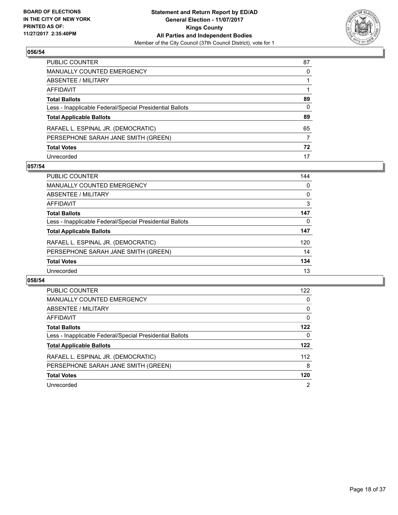

| PUBLIC COUNTER                                           | 87 |
|----------------------------------------------------------|----|
| MANUALLY COUNTED EMERGENCY                               | 0  |
| ABSENTEE / MILITARY                                      |    |
| AFFIDAVIT                                                |    |
| Total Ballots                                            | 89 |
| Less - Inapplicable Federal/Special Presidential Ballots | 0  |
| <b>Total Applicable Ballots</b>                          | 89 |
| RAFAEL L. ESPINAL JR. (DEMOCRATIC)                       | 65 |
| PERSEPHONE SARAH JANE SMITH (GREEN)                      | 7  |
| <b>Total Votes</b>                                       | 72 |
| Unrecorded                                               | 17 |

#### **057/54**

| <b>PUBLIC COUNTER</b>                                    | 144 |
|----------------------------------------------------------|-----|
| MANUALLY COUNTED EMERGENCY                               | 0   |
| ABSENTEE / MILITARY                                      | 0   |
| AFFIDAVIT                                                | 3   |
| <b>Total Ballots</b>                                     | 147 |
| Less - Inapplicable Federal/Special Presidential Ballots | 0   |
| <b>Total Applicable Ballots</b>                          | 147 |
| RAFAEL L. ESPINAL JR. (DEMOCRATIC)                       | 120 |
| PERSEPHONE SARAH JANE SMITH (GREEN)                      | 14  |
| <b>Total Votes</b>                                       | 134 |
| Unrecorded                                               | 13  |

| PUBLIC COUNTER                                           | 122 |
|----------------------------------------------------------|-----|
| <b>MANUALLY COUNTED EMERGENCY</b>                        | 0   |
| ABSENTEE / MILITARY                                      | 0   |
| <b>AFFIDAVIT</b>                                         | 0   |
| <b>Total Ballots</b>                                     | 122 |
| Less - Inapplicable Federal/Special Presidential Ballots | 0   |
| <b>Total Applicable Ballots</b>                          | 122 |
| RAFAEL L. ESPINAL JR. (DEMOCRATIC)                       | 112 |
| PERSEPHONE SARAH JANE SMITH (GREEN)                      | 8   |
| <b>Total Votes</b>                                       | 120 |
| Unrecorded                                               | 2   |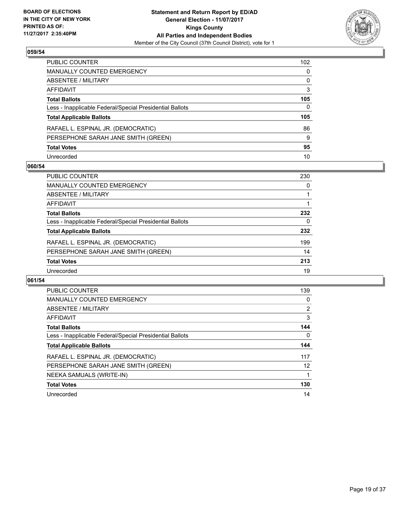

| PUBLIC COUNTER                                           | 102 <sub>1</sub> |
|----------------------------------------------------------|------------------|
| MANUALLY COUNTED EMERGENCY                               | 0                |
| <b>ABSENTEE / MILITARY</b>                               | 0                |
| AFFIDAVIT                                                | 3                |
| Total Ballots                                            | 105              |
| Less - Inapplicable Federal/Special Presidential Ballots | 0                |
| <b>Total Applicable Ballots</b>                          | 105              |
| RAFAEL L. ESPINAL JR. (DEMOCRATIC)                       | 86               |
| PERSEPHONE SARAH JANE SMITH (GREEN)                      | 9                |
| <b>Total Votes</b>                                       | 95               |
| Unrecorded                                               | 10               |

#### **060/54**

| <b>PUBLIC COUNTER</b>                                    | 230 |
|----------------------------------------------------------|-----|
| MANUALLY COUNTED EMERGENCY                               | 0   |
| ABSENTEE / MILITARY                                      |     |
| AFFIDAVIT                                                |     |
| <b>Total Ballots</b>                                     | 232 |
| Less - Inapplicable Federal/Special Presidential Ballots | 0   |
| <b>Total Applicable Ballots</b>                          | 232 |
| RAFAEL L. ESPINAL JR. (DEMOCRATIC)                       | 199 |
| PERSEPHONE SARAH JANE SMITH (GREEN)                      | 14  |
| <b>Total Votes</b>                                       | 213 |
| Unrecorded                                               | 19  |

| <b>PUBLIC COUNTER</b>                                    | 139                   |
|----------------------------------------------------------|-----------------------|
| <b>MANUALLY COUNTED EMERGENCY</b>                        | 0                     |
| ABSENTEE / MILITARY                                      | $\mathbf{2}^{\prime}$ |
| AFFIDAVIT                                                | 3                     |
| <b>Total Ballots</b>                                     | 144                   |
| Less - Inapplicable Federal/Special Presidential Ballots | 0                     |
| <b>Total Applicable Ballots</b>                          | 144                   |
|                                                          |                       |
| RAFAEL L. ESPINAL JR. (DEMOCRATIC)                       | 117                   |
| PERSEPHONE SARAH JANE SMITH (GREEN)                      | 12                    |
| NEEKA SAMUALS (WRITE-IN)                                 |                       |
| <b>Total Votes</b>                                       | 130                   |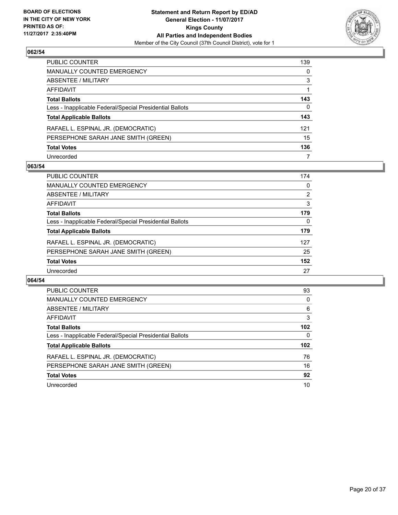

| PUBLIC COUNTER                                           | 139 |
|----------------------------------------------------------|-----|
| <b>MANUALLY COUNTED EMERGENCY</b>                        | 0   |
| <b>ABSENTEE / MILITARY</b>                               | 3   |
| AFFIDAVIT                                                |     |
| <b>Total Ballots</b>                                     | 143 |
| Less - Inapplicable Federal/Special Presidential Ballots | 0   |
| <b>Total Applicable Ballots</b>                          | 143 |
| RAFAEL L. ESPINAL JR. (DEMOCRATIC)                       | 121 |
| PERSEPHONE SARAH JANE SMITH (GREEN)                      | 15  |
| <b>Total Votes</b>                                       | 136 |
| Unrecorded                                               | 7   |

#### **063/54**

| <b>PUBLIC COUNTER</b>                                    | 174            |
|----------------------------------------------------------|----------------|
| MANUALLY COUNTED EMERGENCY                               | 0              |
| ABSENTEE / MILITARY                                      | $\overline{2}$ |
| AFFIDAVIT                                                | 3              |
| <b>Total Ballots</b>                                     | 179            |
| Less - Inapplicable Federal/Special Presidential Ballots | 0              |
| <b>Total Applicable Ballots</b>                          | 179            |
| RAFAEL L. ESPINAL JR. (DEMOCRATIC)                       | 127            |
| PERSEPHONE SARAH JANE SMITH (GREEN)                      | 25             |
| <b>Total Votes</b>                                       | 152            |
| Unrecorded                                               | 27             |

| PUBLIC COUNTER                                           | 93  |
|----------------------------------------------------------|-----|
| <b>MANUALLY COUNTED EMERGENCY</b>                        | 0   |
| ABSENTEE / MILITARY                                      | 6   |
| AFFIDAVIT                                                | 3   |
| <b>Total Ballots</b>                                     | 102 |
| Less - Inapplicable Federal/Special Presidential Ballots | 0   |
|                                                          |     |
| <b>Total Applicable Ballots</b>                          | 102 |
| RAFAEL L. ESPINAL JR. (DEMOCRATIC)                       | 76  |
| PERSEPHONE SARAH JANE SMITH (GREEN)                      | 16  |
| <b>Total Votes</b>                                       | 92  |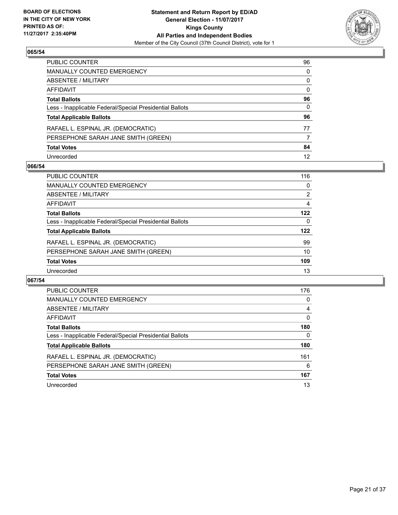

| PUBLIC COUNTER                                           | 96 |
|----------------------------------------------------------|----|
| MANUALLY COUNTED EMERGENCY                               | 0  |
| ABSENTEE / MILITARY                                      | 0  |
| AFFIDAVIT                                                | 0  |
| Total Ballots                                            | 96 |
| Less - Inapplicable Federal/Special Presidential Ballots | 0  |
| <b>Total Applicable Ballots</b>                          | 96 |
| RAFAEL L. ESPINAL JR. (DEMOCRATIC)                       | 77 |
| PERSEPHONE SARAH JANE SMITH (GREEN)                      | 7  |
| <b>Total Votes</b>                                       | 84 |
| Unrecorded                                               | 12 |

#### **066/54**

| <b>PUBLIC COUNTER</b>                                    | 116 |
|----------------------------------------------------------|-----|
| <b>MANUALLY COUNTED EMERGENCY</b>                        | 0   |
| ABSENTEE / MILITARY                                      | 2   |
| AFFIDAVIT                                                | 4   |
| <b>Total Ballots</b>                                     | 122 |
| Less - Inapplicable Federal/Special Presidential Ballots | 0   |
| <b>Total Applicable Ballots</b>                          | 122 |
| RAFAEL L. ESPINAL JR. (DEMOCRATIC)                       | 99  |
| PERSEPHONE SARAH JANE SMITH (GREEN)                      | 10  |
| <b>Total Votes</b>                                       | 109 |
| Unrecorded                                               | 13  |

| PUBLIC COUNTER                                           | 176 |
|----------------------------------------------------------|-----|
| <b>MANUALLY COUNTED EMERGENCY</b>                        | 0   |
| ABSENTEE / MILITARY                                      | 4   |
| <b>AFFIDAVIT</b>                                         | 0   |
| <b>Total Ballots</b>                                     | 180 |
| Less - Inapplicable Federal/Special Presidential Ballots | 0   |
| <b>Total Applicable Ballots</b>                          | 180 |
| RAFAEL L. ESPINAL JR. (DEMOCRATIC)                       | 161 |
| PERSEPHONE SARAH JANE SMITH (GREEN)                      | 6   |
| <b>Total Votes</b>                                       | 167 |
| Unrecorded                                               | 13  |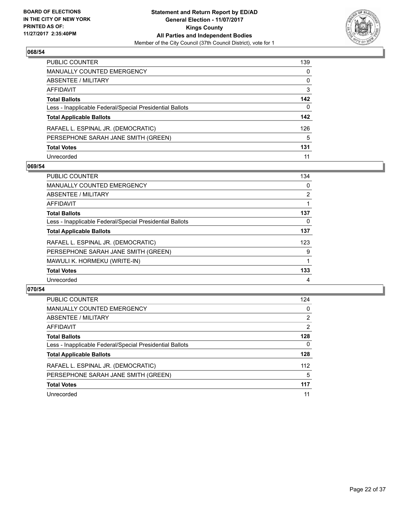

| PUBLIC COUNTER                                           | 139 |
|----------------------------------------------------------|-----|
| <b>MANUALLY COUNTED EMERGENCY</b>                        | 0   |
| ABSENTEE / MILITARY                                      | 0   |
| AFFIDAVIT                                                | 3   |
| <b>Total Ballots</b>                                     | 142 |
| Less - Inapplicable Federal/Special Presidential Ballots | 0   |
| <b>Total Applicable Ballots</b>                          | 142 |
| RAFAEL L. ESPINAL JR. (DEMOCRATIC)                       | 126 |
| PERSEPHONE SARAH JANE SMITH (GREEN)                      | 5   |
| <b>Total Votes</b>                                       | 131 |
| Unrecorded                                               | 11  |

#### **069/54**

| <b>PUBLIC COUNTER</b>                                    | 134            |
|----------------------------------------------------------|----------------|
| <b>MANUALLY COUNTED EMERGENCY</b>                        | 0              |
| ABSENTEE / MILITARY                                      | $\overline{2}$ |
| AFFIDAVIT                                                |                |
| <b>Total Ballots</b>                                     | 137            |
| Less - Inapplicable Federal/Special Presidential Ballots | 0              |
| <b>Total Applicable Ballots</b>                          | 137            |
| RAFAEL L. ESPINAL JR. (DEMOCRATIC)                       | 123            |
| PERSEPHONE SARAH JANE SMITH (GREEN)                      | 9              |
| MAWULI K. HORMEKU (WRITE-IN)                             |                |
| <b>Total Votes</b>                                       | 133            |
| Unrecorded                                               | 4              |

| <b>PUBLIC COUNTER</b>                                    | 124 |
|----------------------------------------------------------|-----|
| <b>MANUALLY COUNTED EMERGENCY</b>                        | 0   |
| ABSENTEE / MILITARY                                      | 2   |
| AFFIDAVIT                                                | 2   |
| <b>Total Ballots</b>                                     | 128 |
| Less - Inapplicable Federal/Special Presidential Ballots | 0   |
| <b>Total Applicable Ballots</b>                          | 128 |
| RAFAEL L. ESPINAL JR. (DEMOCRATIC)                       | 112 |
| PERSEPHONE SARAH JANE SMITH (GREEN)                      | 5   |
| <b>Total Votes</b>                                       | 117 |
| Unrecorded                                               | 11  |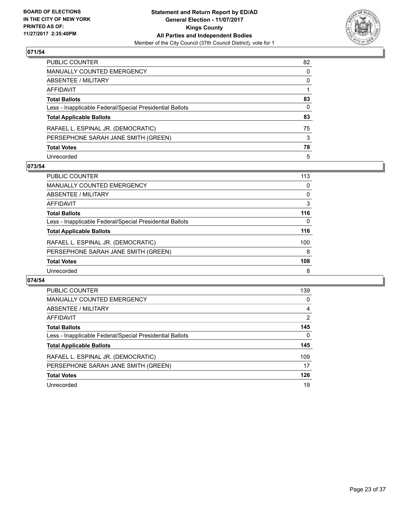

| PUBLIC COUNTER                                           | 82 |
|----------------------------------------------------------|----|
| MANUALLY COUNTED EMERGENCY                               | 0  |
| ABSENTEE / MILITARY                                      | 0  |
| AFFIDAVIT                                                |    |
| <b>Total Ballots</b>                                     | 83 |
| Less - Inapplicable Federal/Special Presidential Ballots | 0  |
| <b>Total Applicable Ballots</b>                          | 83 |
| RAFAEL L. ESPINAL JR. (DEMOCRATIC)                       | 75 |
| PERSEPHONE SARAH JANE SMITH (GREEN)                      | 3  |
| <b>Total Votes</b>                                       | 78 |
| Unrecorded                                               | 5  |

#### **073/54**

| PUBLIC COUNTER                                           | 113 |
|----------------------------------------------------------|-----|
| <b>MANUALLY COUNTED EMERGENCY</b>                        | 0   |
| ABSENTEE / MILITARY                                      | 0   |
| AFFIDAVIT                                                | 3   |
| <b>Total Ballots</b>                                     | 116 |
| Less - Inapplicable Federal/Special Presidential Ballots | 0   |
| <b>Total Applicable Ballots</b>                          | 116 |
| RAFAEL L. ESPINAL JR. (DEMOCRATIC)                       | 100 |
| PERSEPHONE SARAH JANE SMITH (GREEN)                      | 8   |
| <b>Total Votes</b>                                       | 108 |
| Unrecorded                                               | 8   |

| PUBLIC COUNTER                                           | 139 |
|----------------------------------------------------------|-----|
| <b>MANUALLY COUNTED EMERGENCY</b>                        | 0   |
| ABSENTEE / MILITARY                                      | 4   |
| <b>AFFIDAVIT</b>                                         | 2   |
| <b>Total Ballots</b>                                     | 145 |
| Less - Inapplicable Federal/Special Presidential Ballots | 0   |
| <b>Total Applicable Ballots</b>                          | 145 |
| RAFAEL L. ESPINAL JR. (DEMOCRATIC)                       | 109 |
| PERSEPHONE SARAH JANE SMITH (GREEN)                      | 17  |
| <b>Total Votes</b>                                       | 126 |
| Unrecorded                                               | 19  |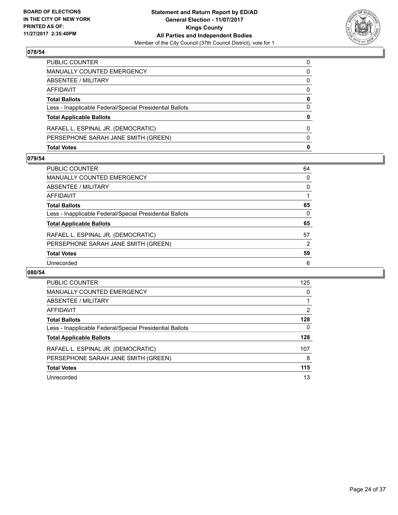

| <b>Total Votes</b>                                       | $\mathbf{0}$ |
|----------------------------------------------------------|--------------|
| PERSEPHONE SARAH JANE SMITH (GREEN)                      | $\Omega$     |
| RAFAEL L. ESPINAL JR. (DEMOCRATIC)                       | $\Omega$     |
| <b>Total Applicable Ballots</b>                          | 0            |
| Less - Inapplicable Federal/Special Presidential Ballots | $\Omega$     |
| <b>Total Ballots</b>                                     | 0            |
| AFFIDAVIT                                                | 0            |
| ABSENTEE / MILITARY                                      | 0            |
| <b>MANUALLY COUNTED EMERGENCY</b>                        | 0            |
| PUBLIC COUNTER                                           | 0            |

#### **079/54**

| <b>PUBLIC COUNTER</b>                                    | 64 |
|----------------------------------------------------------|----|
| <b>MANUALLY COUNTED EMERGENCY</b>                        | 0  |
| ABSENTEE / MILITARY                                      | 0  |
| <b>AFFIDAVIT</b>                                         |    |
| <b>Total Ballots</b>                                     | 65 |
| Less - Inapplicable Federal/Special Presidential Ballots | 0  |
| <b>Total Applicable Ballots</b>                          | 65 |
| RAFAEL L. ESPINAL JR. (DEMOCRATIC)                       | 57 |
| PERSEPHONE SARAH JANE SMITH (GREEN)                      | 2  |
| <b>Total Votes</b>                                       | 59 |
| Unrecorded                                               | 6  |

| <b>PUBLIC COUNTER</b>                                    | 125            |
|----------------------------------------------------------|----------------|
| <b>MANUALLY COUNTED EMERGENCY</b>                        | 0              |
| ABSENTEE / MILITARY                                      |                |
| <b>AFFIDAVIT</b>                                         | $\overline{2}$ |
| <b>Total Ballots</b>                                     | 128            |
| Less - Inapplicable Federal/Special Presidential Ballots | 0              |
| <b>Total Applicable Ballots</b>                          | 128            |
| RAFAEL L. ESPINAL JR. (DEMOCRATIC)                       | 107            |
| PERSEPHONE SARAH JANE SMITH (GREEN)                      | 8              |
| <b>Total Votes</b>                                       | 115            |
| Unrecorded                                               | 13             |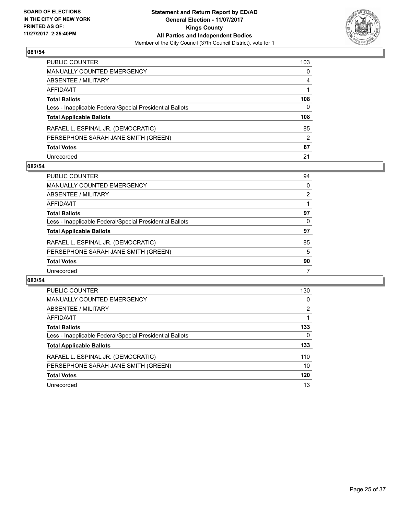

| PUBLIC COUNTER                                           | 103 |
|----------------------------------------------------------|-----|
| <b>MANUALLY COUNTED EMERGENCY</b>                        | 0   |
| <b>ABSENTEE / MILITARY</b>                               | 4   |
| AFFIDAVIT                                                |     |
| <b>Total Ballots</b>                                     | 108 |
| Less - Inapplicable Federal/Special Presidential Ballots | 0   |
| <b>Total Applicable Ballots</b>                          | 108 |
| RAFAEL L. ESPINAL JR. (DEMOCRATIC)                       | 85  |
| PERSEPHONE SARAH JANE SMITH (GREEN)                      | 2   |
| <b>Total Votes</b>                                       | 87  |
| Unrecorded                                               | 21  |

#### **082/54**

| <b>PUBLIC COUNTER</b>                                    | 94 |
|----------------------------------------------------------|----|
| <b>MANUALLY COUNTED EMERGENCY</b>                        | 0  |
| ABSENTEE / MILITARY                                      | 2  |
| AFFIDAVIT                                                |    |
| <b>Total Ballots</b>                                     | 97 |
| Less - Inapplicable Federal/Special Presidential Ballots | 0  |
| <b>Total Applicable Ballots</b>                          | 97 |
| RAFAEL L. ESPINAL JR. (DEMOCRATIC)                       | 85 |
| PERSEPHONE SARAH JANE SMITH (GREEN)                      | 5  |
| <b>Total Votes</b>                                       | 90 |
| Unrecorded                                               | 7  |

| PUBLIC COUNTER                                           | 130 |
|----------------------------------------------------------|-----|
| <b>MANUALLY COUNTED EMERGENCY</b>                        | 0   |
| ABSENTEE / MILITARY                                      | 2   |
| <b>AFFIDAVIT</b>                                         |     |
| <b>Total Ballots</b>                                     | 133 |
| Less - Inapplicable Federal/Special Presidential Ballots | 0   |
| <b>Total Applicable Ballots</b>                          | 133 |
| RAFAEL L. ESPINAL JR. (DEMOCRATIC)                       | 110 |
| PERSEPHONE SARAH JANE SMITH (GREEN)                      | 10  |
| <b>Total Votes</b>                                       | 120 |
| Unrecorded                                               | 13  |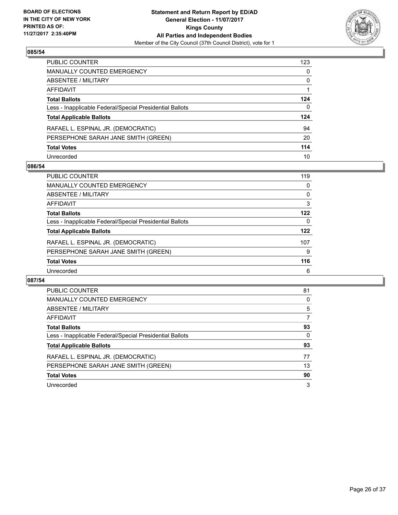

| PUBLIC COUNTER                                           | 123 |
|----------------------------------------------------------|-----|
| <b>MANUALLY COUNTED EMERGENCY</b>                        | 0   |
| ABSENTEE / MILITARY                                      | 0   |
| <b>AFFIDAVIT</b>                                         |     |
| <b>Total Ballots</b>                                     | 124 |
| Less - Inapplicable Federal/Special Presidential Ballots | 0   |
| <b>Total Applicable Ballots</b>                          | 124 |
| RAFAEL L. ESPINAL JR. (DEMOCRATIC)                       | 94  |
| PERSEPHONE SARAH JANE SMITH (GREEN)                      | 20  |
| <b>Total Votes</b>                                       | 114 |
| Unrecorded                                               | 10  |

#### **086/54**

| <b>PUBLIC COUNTER</b>                                    | 119 |
|----------------------------------------------------------|-----|
| <b>MANUALLY COUNTED EMERGENCY</b>                        | 0   |
| ABSENTEE / MILITARY                                      | 0   |
| AFFIDAVIT                                                | 3   |
| <b>Total Ballots</b>                                     | 122 |
| Less - Inapplicable Federal/Special Presidential Ballots | 0   |
| <b>Total Applicable Ballots</b>                          | 122 |
| RAFAEL L. ESPINAL JR. (DEMOCRATIC)                       | 107 |
| PERSEPHONE SARAH JANE SMITH (GREEN)                      | 9   |
| <b>Total Votes</b>                                       | 116 |
| Unrecorded                                               | 6   |

| PUBLIC COUNTER                                           | 81 |
|----------------------------------------------------------|----|
| <b>MANUALLY COUNTED EMERGENCY</b>                        | 0  |
| ABSENTEE / MILITARY                                      | 5  |
| <b>AFFIDAVIT</b>                                         | 7  |
| <b>Total Ballots</b>                                     | 93 |
| Less - Inapplicable Federal/Special Presidential Ballots | 0  |
| <b>Total Applicable Ballots</b>                          | 93 |
| RAFAEL L. ESPINAL JR. (DEMOCRATIC)                       | 77 |
| PERSEPHONE SARAH JANE SMITH (GREEN)                      | 13 |
| <b>Total Votes</b>                                       | 90 |
| Unrecorded                                               | 3  |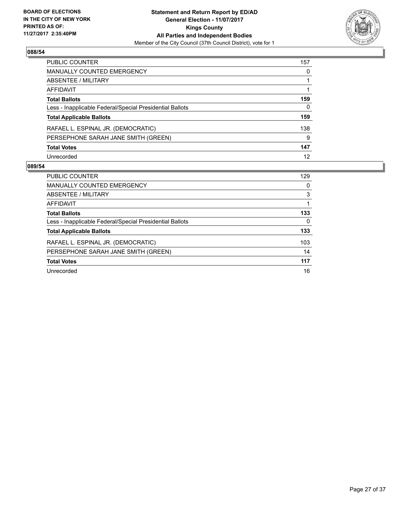

| PUBLIC COUNTER                                           | 157 |
|----------------------------------------------------------|-----|
| <b>MANUALLY COUNTED EMERGENCY</b>                        | 0   |
| ABSENTEE / MILITARY                                      |     |
| <b>AFFIDAVIT</b>                                         |     |
| <b>Total Ballots</b>                                     | 159 |
| Less - Inapplicable Federal/Special Presidential Ballots | 0   |
| <b>Total Applicable Ballots</b>                          | 159 |
| RAFAEL L. ESPINAL JR. (DEMOCRATIC)                       | 138 |
| PERSEPHONE SARAH JANE SMITH (GREEN)                      | 9   |
| <b>Total Votes</b>                                       | 147 |
| Unrecorded                                               | 12  |

| <b>PUBLIC COUNTER</b>                                    | 129      |
|----------------------------------------------------------|----------|
| <b>MANUALLY COUNTED EMERGENCY</b>                        | 0        |
| ABSENTEE / MILITARY                                      | 3        |
| AFFIDAVIT                                                |          |
| <b>Total Ballots</b>                                     | 133      |
| Less - Inapplicable Federal/Special Presidential Ballots | $\Omega$ |
| <b>Total Applicable Ballots</b>                          | 133      |
| RAFAEL L. ESPINAL JR. (DEMOCRATIC)                       | 103      |
| PERSEPHONE SARAH JANE SMITH (GREEN)                      | 14       |
| <b>Total Votes</b>                                       | 117      |
| Unrecorded                                               | 16       |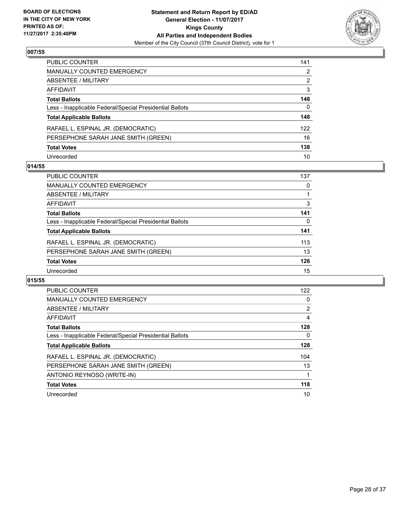

| PUBLIC COUNTER                                           | 141 |
|----------------------------------------------------------|-----|
| <b>MANUALLY COUNTED EMERGENCY</b>                        | 2   |
| <b>ABSENTEE / MILITARY</b>                               | 2   |
| AFFIDAVIT                                                | 3   |
| <b>Total Ballots</b>                                     | 148 |
| Less - Inapplicable Federal/Special Presidential Ballots | 0   |
| <b>Total Applicable Ballots</b>                          | 148 |
| RAFAEL L. ESPINAL JR. (DEMOCRATIC)                       | 122 |
| PERSEPHONE SARAH JANE SMITH (GREEN)                      | 16  |
| <b>Total Votes</b>                                       | 138 |
| Unrecorded                                               | 10  |

#### **014/55**

| <b>PUBLIC COUNTER</b>                                    | 137 |
|----------------------------------------------------------|-----|
| MANUALLY COUNTED EMERGENCY                               | 0   |
| ABSENTEE / MILITARY                                      |     |
| AFFIDAVIT                                                | 3   |
| <b>Total Ballots</b>                                     | 141 |
| Less - Inapplicable Federal/Special Presidential Ballots | 0   |
| <b>Total Applicable Ballots</b>                          | 141 |
| RAFAEL L. ESPINAL JR. (DEMOCRATIC)                       | 113 |
| PERSEPHONE SARAH JANE SMITH (GREEN)                      | 13  |
| <b>Total Votes</b>                                       | 126 |
| Unrecorded                                               | 15  |

| <b>PUBLIC COUNTER</b>                                    | 122                   |
|----------------------------------------------------------|-----------------------|
| <b>MANUALLY COUNTED EMERGENCY</b>                        | 0                     |
| ABSENTEE / MILITARY                                      | $\mathbf{2}^{\prime}$ |
| AFFIDAVIT                                                | 4                     |
| <b>Total Ballots</b>                                     | 128                   |
| Less - Inapplicable Federal/Special Presidential Ballots | 0                     |
| <b>Total Applicable Ballots</b>                          | 128                   |
| RAFAEL L. ESPINAL JR. (DEMOCRATIC)                       | 104                   |
| PERSEPHONE SARAH JANE SMITH (GREEN)                      | 13                    |
| ANTONIO REYNOSO (WRITE-IN)                               |                       |
| <b>Total Votes</b>                                       | 118                   |
| Unrecorded                                               | 10                    |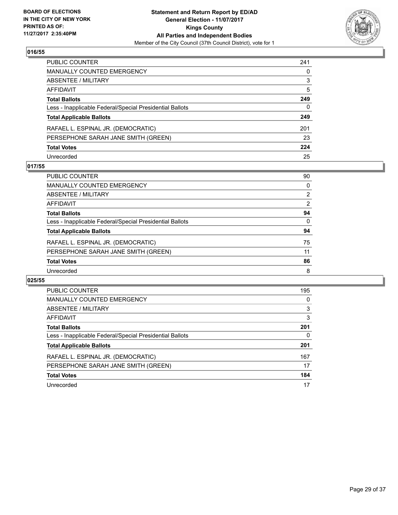

| PUBLIC COUNTER                                           | 241 |
|----------------------------------------------------------|-----|
| MANUALLY COUNTED EMERGENCY                               | 0   |
| ABSENTEE / MILITARY                                      | 3   |
| AFFIDAVIT                                                | 5   |
| <b>Total Ballots</b>                                     | 249 |
| Less - Inapplicable Federal/Special Presidential Ballots | 0   |
| <b>Total Applicable Ballots</b>                          | 249 |
| RAFAEL L. ESPINAL JR. (DEMOCRATIC)                       | 201 |
| PERSEPHONE SARAH JANE SMITH (GREEN)                      | 23  |
| <b>Total Votes</b>                                       | 224 |
| Unrecorded                                               | 25  |

#### **017/55**

| <b>PUBLIC COUNTER</b>                                    | 90             |
|----------------------------------------------------------|----------------|
| <b>MANUALLY COUNTED EMERGENCY</b>                        | 0              |
| ABSENTEE / MILITARY                                      | $\overline{2}$ |
| AFFIDAVIT                                                | 2              |
| <b>Total Ballots</b>                                     | 94             |
| Less - Inapplicable Federal/Special Presidential Ballots | $\Omega$       |
| <b>Total Applicable Ballots</b>                          | 94             |
| RAFAEL L. ESPINAL JR. (DEMOCRATIC)                       | 75             |
| PERSEPHONE SARAH JANE SMITH (GREEN)                      | 11             |
| <b>Total Votes</b>                                       | 86             |
| Unrecorded                                               | 8              |

| PUBLIC COUNTER                                           | 195 |
|----------------------------------------------------------|-----|
| MANUALLY COUNTED EMERGENCY                               | 0   |
| ABSENTEE / MILITARY                                      | 3   |
| AFFIDAVIT                                                | 3   |
| <b>Total Ballots</b>                                     | 201 |
| Less - Inapplicable Federal/Special Presidential Ballots | 0   |
| <b>Total Applicable Ballots</b>                          | 201 |
| RAFAEL L. ESPINAL JR. (DEMOCRATIC)                       | 167 |
| PERSEPHONE SARAH JANE SMITH (GREEN)                      | 17  |
| <b>Total Votes</b>                                       | 184 |
| Unrecorded                                               | 17  |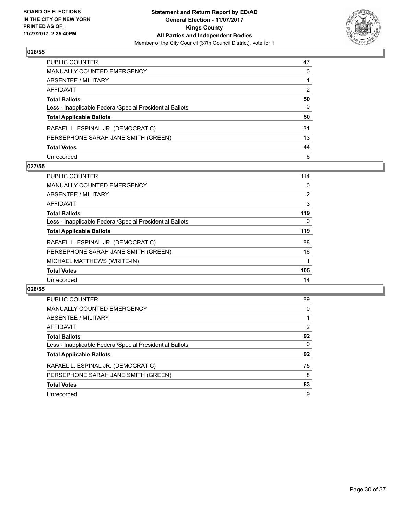

| PUBLIC COUNTER                                           | 47           |
|----------------------------------------------------------|--------------|
| MANUALLY COUNTED EMERGENCY                               | 0            |
| ABSENTEE / MILITARY                                      |              |
| AFFIDAVIT                                                | 2            |
| Total Ballots                                            | 50           |
| Less - Inapplicable Federal/Special Presidential Ballots | $\mathbf{0}$ |
| <b>Total Applicable Ballots</b>                          | 50           |
| RAFAEL L. ESPINAL JR. (DEMOCRATIC)                       | 31           |
| PERSEPHONE SARAH JANE SMITH (GREEN)                      | 13           |
| <b>Total Votes</b>                                       | 44           |
| Unrecorded                                               | 6            |

#### **027/55**

| <b>PUBLIC COUNTER</b>                                    | 114            |
|----------------------------------------------------------|----------------|
| <b>MANUALLY COUNTED EMERGENCY</b>                        | 0              |
| ABSENTEE / MILITARY                                      | $\overline{2}$ |
| AFFIDAVIT                                                | 3              |
| <b>Total Ballots</b>                                     | 119            |
| Less - Inapplicable Federal/Special Presidential Ballots | 0              |
| <b>Total Applicable Ballots</b>                          | 119            |
| RAFAEL L. ESPINAL JR. (DEMOCRATIC)                       | 88             |
| PERSEPHONE SARAH JANE SMITH (GREEN)                      | 16             |
| MICHAEL MATTHEWS (WRITE-IN)                              |                |
| <b>Total Votes</b>                                       | 105            |
| Unrecorded                                               | 14             |

| <b>PUBLIC COUNTER</b>                                    | 89 |
|----------------------------------------------------------|----|
| MANUALLY COUNTED EMERGENCY                               | 0  |
| ABSENTEE / MILITARY                                      |    |
| AFFIDAVIT                                                | 2  |
| <b>Total Ballots</b>                                     | 92 |
| Less - Inapplicable Federal/Special Presidential Ballots | 0  |
| <b>Total Applicable Ballots</b>                          | 92 |
| RAFAEL L. ESPINAL JR. (DEMOCRATIC)                       | 75 |
| PERSEPHONE SARAH JANE SMITH (GREEN)                      | 8  |
| <b>Total Votes</b>                                       | 83 |
| Unrecorded                                               | 9  |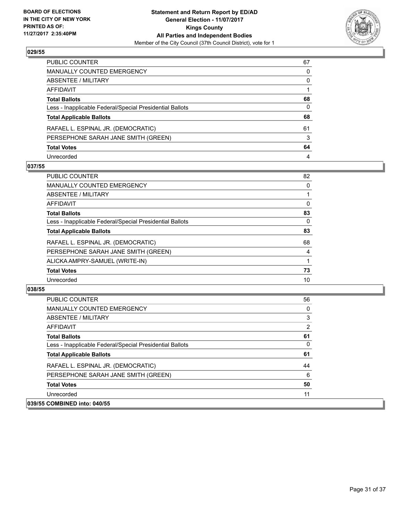

| PUBLIC COUNTER                                           | 67 |
|----------------------------------------------------------|----|
| <b>MANUALLY COUNTED EMERGENCY</b>                        | 0  |
| <b>ABSENTEE / MILITARY</b>                               | 0  |
| AFFIDAVIT                                                |    |
| <b>Total Ballots</b>                                     | 68 |
| Less - Inapplicable Federal/Special Presidential Ballots | 0  |
| <b>Total Applicable Ballots</b>                          | 68 |
| RAFAEL L. ESPINAL JR. (DEMOCRATIC)                       | 61 |
| PERSEPHONE SARAH JANE SMITH (GREEN)                      | 3  |
| <b>Total Votes</b>                                       | 64 |
| Unrecorded                                               | 4  |

#### **037/55**

| <b>PUBLIC COUNTER</b>                                    | 82 |
|----------------------------------------------------------|----|
| <b>MANUALLY COUNTED EMERGENCY</b>                        | 0  |
| ABSENTEE / MILITARY                                      |    |
| AFFIDAVIT                                                | 0  |
| <b>Total Ballots</b>                                     | 83 |
| Less - Inapplicable Federal/Special Presidential Ballots | 0  |
| <b>Total Applicable Ballots</b>                          | 83 |
| RAFAEL L. ESPINAL JR. (DEMOCRATIC)                       | 68 |
| PERSEPHONE SARAH JANE SMITH (GREEN)                      | 4  |
| ALICKA AMPRY-SAMUEL (WRITE-IN)                           |    |
| <b>Total Votes</b>                                       | 73 |
| Unrecorded                                               | 10 |

| <b>PUBLIC COUNTER</b>                                    | 56 |
|----------------------------------------------------------|----|
| <b>MANUALLY COUNTED EMERGENCY</b>                        | 0  |
| ABSENTEE / MILITARY                                      | 3  |
| AFFIDAVIT                                                | 2  |
| <b>Total Ballots</b>                                     | 61 |
| Less - Inapplicable Federal/Special Presidential Ballots | 0  |
| <b>Total Applicable Ballots</b>                          | 61 |
| RAFAEL L. ESPINAL JR. (DEMOCRATIC)                       | 44 |
| PERSEPHONE SARAH JANE SMITH (GREEN)                      | 6  |
| <b>Total Votes</b>                                       | 50 |
| Unrecorded                                               | 11 |
| 039/55 COMBINED into: 040/55                             |    |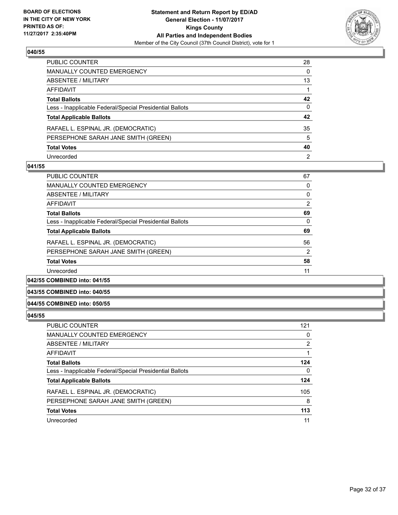

| PUBLIC COUNTER                                           | 28 |
|----------------------------------------------------------|----|
| MANUALLY COUNTED EMERGENCY                               | 0  |
| ABSENTEE / MILITARY                                      | 13 |
| AFFIDAVIT                                                |    |
| Total Ballots                                            | 42 |
| Less - Inapplicable Federal/Special Presidential Ballots | 0  |
| <b>Total Applicable Ballots</b>                          | 42 |
| RAFAEL L. ESPINAL JR. (DEMOCRATIC)                       | 35 |
| PERSEPHONE SARAH JANE SMITH (GREEN)                      | 5  |
| <b>Total Votes</b>                                       | 40 |
| Unrecorded                                               | 2  |

#### **041/55**

| PUBLIC COUNTER                                           | 67 |
|----------------------------------------------------------|----|
| <b>MANUALLY COUNTED EMERGENCY</b>                        | 0  |
| ABSENTEE / MILITARY                                      | 0  |
| AFFIDAVIT                                                | 2  |
| <b>Total Ballots</b>                                     | 69 |
| Less - Inapplicable Federal/Special Presidential Ballots | 0  |
| <b>Total Applicable Ballots</b>                          | 69 |
| RAFAEL L. ESPINAL JR. (DEMOCRATIC)                       | 56 |
| PERSEPHONE SARAH JANE SMITH (GREEN)                      | 2  |
| <b>Total Votes</b>                                       | 58 |
| Unrecorded                                               | 11 |
|                                                          |    |

#### **042/55 COMBINED into: 041/55**

#### **043/55 COMBINED into: 040/55**

#### **044/55 COMBINED into: 050/55**

| <b>PUBLIC COUNTER</b>                                    | 121            |
|----------------------------------------------------------|----------------|
| <b>MANUALLY COUNTED EMERGENCY</b>                        | 0              |
| ABSENTEE / MILITARY                                      | $\overline{2}$ |
| AFFIDAVIT                                                |                |
| <b>Total Ballots</b>                                     | 124            |
| Less - Inapplicable Federal/Special Presidential Ballots | 0              |
| <b>Total Applicable Ballots</b>                          | 124            |
| RAFAEL L. ESPINAL JR. (DEMOCRATIC)                       | 105            |
| PERSEPHONE SARAH JANE SMITH (GREEN)                      | 8              |
| <b>Total Votes</b>                                       | 113            |
| Unrecorded                                               | 11             |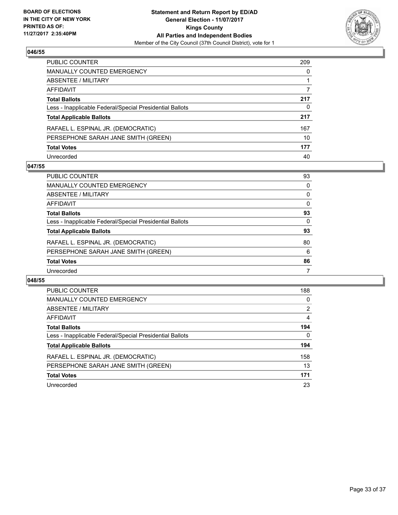

| PUBLIC COUNTER                                           | 209 |
|----------------------------------------------------------|-----|
| <b>MANUALLY COUNTED EMERGENCY</b>                        | 0   |
| ABSENTEE / MILITARY                                      |     |
| AFFIDAVIT                                                |     |
| <b>Total Ballots</b>                                     | 217 |
| Less - Inapplicable Federal/Special Presidential Ballots | 0   |
| <b>Total Applicable Ballots</b>                          | 217 |
| RAFAEL L. ESPINAL JR. (DEMOCRATIC)                       | 167 |
| PERSEPHONE SARAH JANE SMITH (GREEN)                      | 10  |
| <b>Total Votes</b>                                       | 177 |
| Unrecorded                                               | 40  |

#### **047/55**

| <b>PUBLIC COUNTER</b>                                    | 93 |
|----------------------------------------------------------|----|
| <b>MANUALLY COUNTED EMERGENCY</b>                        | 0  |
| ABSENTEE / MILITARY                                      | 0  |
| AFFIDAVIT                                                | 0  |
| <b>Total Ballots</b>                                     | 93 |
| Less - Inapplicable Federal/Special Presidential Ballots | 0  |
| <b>Total Applicable Ballots</b>                          | 93 |
| RAFAEL L. ESPINAL JR. (DEMOCRATIC)                       | 80 |
| PERSEPHONE SARAH JANE SMITH (GREEN)                      | 6  |
| <b>Total Votes</b>                                       | 86 |
| Unrecorded                                               | 7  |

| <b>PUBLIC COUNTER</b>                                    | 188 |
|----------------------------------------------------------|-----|
| <b>MANUALLY COUNTED EMERGENCY</b>                        | 0   |
| ABSENTEE / MILITARY                                      | 2   |
| AFFIDAVIT                                                | 4   |
| <b>Total Ballots</b>                                     | 194 |
| Less - Inapplicable Federal/Special Presidential Ballots | 0   |
| <b>Total Applicable Ballots</b>                          | 194 |
| RAFAEL L. ESPINAL JR. (DEMOCRATIC)                       | 158 |
| PERSEPHONE SARAH JANE SMITH (GREEN)                      | 13  |
| <b>Total Votes</b>                                       | 171 |
|                                                          |     |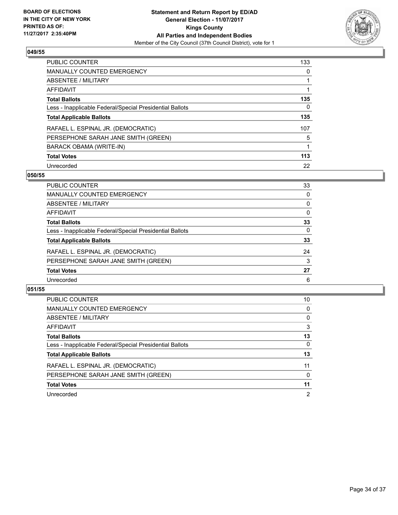

| <b>PUBLIC COUNTER</b>                                    | 133 |
|----------------------------------------------------------|-----|
| <b>MANUALLY COUNTED EMERGENCY</b>                        | 0   |
| ABSENTEE / MILITARY                                      |     |
| AFFIDAVIT                                                |     |
| <b>Total Ballots</b>                                     | 135 |
| Less - Inapplicable Federal/Special Presidential Ballots | 0   |
| <b>Total Applicable Ballots</b>                          | 135 |
| RAFAEL L. ESPINAL JR. (DEMOCRATIC)                       | 107 |
| PERSEPHONE SARAH JANE SMITH (GREEN)                      | 5   |
| <b>BARACK OBAMA (WRITE-IN)</b>                           | 1   |
| <b>Total Votes</b>                                       | 113 |
| Unrecorded                                               | 22  |

#### **050/55**

| PUBLIC COUNTER                                           | 33 |
|----------------------------------------------------------|----|
| <b>MANUALLY COUNTED EMERGENCY</b>                        | 0  |
| ABSENTEE / MILITARY                                      | 0  |
| AFFIDAVIT                                                | 0  |
| <b>Total Ballots</b>                                     | 33 |
| Less - Inapplicable Federal/Special Presidential Ballots | 0  |
| <b>Total Applicable Ballots</b>                          | 33 |
| RAFAEL L. ESPINAL JR. (DEMOCRATIC)                       | 24 |
| PERSEPHONE SARAH JANE SMITH (GREEN)                      | 3  |
| <b>Total Votes</b>                                       | 27 |
| Unrecorded                                               | 6  |

| PUBLIC COUNTER                                           | 10 |
|----------------------------------------------------------|----|
| MANUALLY COUNTED EMERGENCY                               | 0  |
| ABSENTEE / MILITARY                                      | 0  |
| AFFIDAVIT                                                | 3  |
| <b>Total Ballots</b>                                     | 13 |
| Less - Inapplicable Federal/Special Presidential Ballots | 0  |
| <b>Total Applicable Ballots</b>                          | 13 |
| RAFAEL L. ESPINAL JR. (DEMOCRATIC)                       | 11 |
| PERSEPHONE SARAH JANE SMITH (GREEN)                      | 0  |
| <b>Total Votes</b>                                       | 11 |
| Unrecorded                                               | 2  |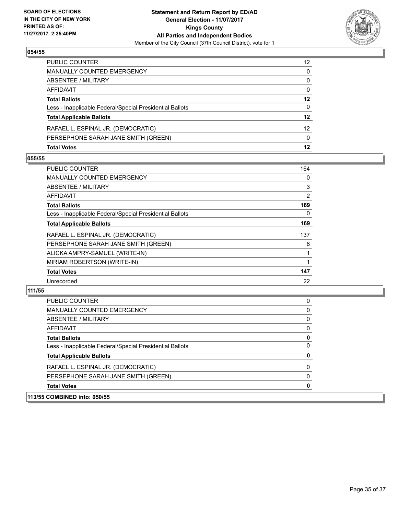

| <b>Total Votes</b>                                       | 12 |
|----------------------------------------------------------|----|
| PERSEPHONE SARAH JANE SMITH (GREEN)                      | 0  |
| RAFAEL L. ESPINAL JR. (DEMOCRATIC)                       | 12 |
| <b>Total Applicable Ballots</b>                          | 12 |
| Less - Inapplicable Federal/Special Presidential Ballots | 0  |
| <b>Total Ballots</b>                                     | 12 |
| AFFIDAVIT                                                | 0  |
| <b>ABSENTEE / MILITARY</b>                               | 0  |
| <b>MANUALLY COUNTED EMERGENCY</b>                        | 0  |
| PUBLIC COUNTER                                           | 12 |

#### **055/55**

| <b>PUBLIC COUNTER</b>                                    | 164      |
|----------------------------------------------------------|----------|
| <b>MANUALLY COUNTED EMERGENCY</b>                        | 0        |
| ABSENTEE / MILITARY                                      | 3        |
| AFFIDAVIT                                                | 2        |
| <b>Total Ballots</b>                                     | 169      |
| Less - Inapplicable Federal/Special Presidential Ballots | $\Omega$ |
| <b>Total Applicable Ballots</b>                          | 169      |
| RAFAEL L. ESPINAL JR. (DEMOCRATIC)                       | 137      |
| PERSEPHONE SARAH JANE SMITH (GREEN)                      | 8        |
| ALICKA AMPRY-SAMUEL (WRITE-IN)                           |          |
| MIRIAM ROBERTSON (WRITE-IN)                              |          |
| <b>Total Votes</b>                                       | 147      |
| Unrecorded                                               | 22       |

| 113/55 COMBINED into: 050/55                             |   |
|----------------------------------------------------------|---|
| <b>Total Votes</b>                                       | 0 |
| PERSEPHONE SARAH JANE SMITH (GREEN)                      | 0 |
| RAFAEL L. ESPINAL JR. (DEMOCRATIC)                       | 0 |
| <b>Total Applicable Ballots</b>                          | 0 |
| Less - Inapplicable Federal/Special Presidential Ballots | 0 |
| <b>Total Ballots</b>                                     | 0 |
| AFFIDAVIT                                                | 0 |
| ABSENTEE / MILITARY                                      | 0 |
| <b>MANUALLY COUNTED EMERGENCY</b>                        | 0 |
| <b>PUBLIC COUNTER</b>                                    | 0 |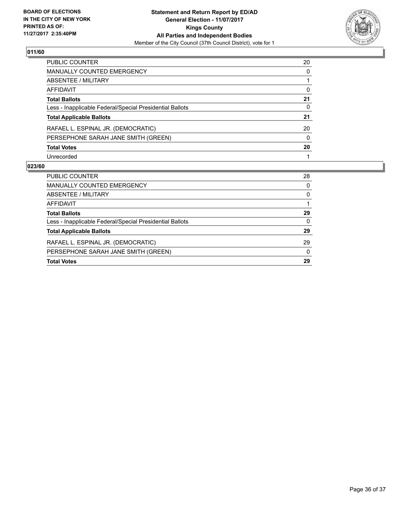

| PUBLIC COUNTER                                           | 20       |
|----------------------------------------------------------|----------|
| MANUALLY COUNTED EMERGENCY                               | 0        |
| <b>ABSENTEE / MILITARY</b>                               |          |
| <b>AFFIDAVIT</b>                                         | 0        |
| <b>Total Ballots</b>                                     | 21       |
| Less - Inapplicable Federal/Special Presidential Ballots | 0        |
| <b>Total Applicable Ballots</b>                          | 21       |
| RAFAEL L. ESPINAL JR. (DEMOCRATIC)                       | 20       |
| PERSEPHONE SARAH JANE SMITH (GREEN)                      | $\Omega$ |
| <b>Total Votes</b>                                       | 20       |
| Unrecorded                                               |          |

| <b>PUBLIC COUNTER</b>                                    | 28 |
|----------------------------------------------------------|----|
| MANUALLY COUNTED EMERGENCY                               | 0  |
| ABSENTEE / MILITARY                                      | 0  |
| AFFIDAVIT                                                |    |
| <b>Total Ballots</b>                                     | 29 |
| Less - Inapplicable Federal/Special Presidential Ballots | 0  |
| <b>Total Applicable Ballots</b>                          | 29 |
| RAFAEL L. ESPINAL JR. (DEMOCRATIC)                       | 29 |
| PERSEPHONE SARAH JANE SMITH (GREEN)                      | 0  |
| <b>Total Votes</b>                                       | 29 |